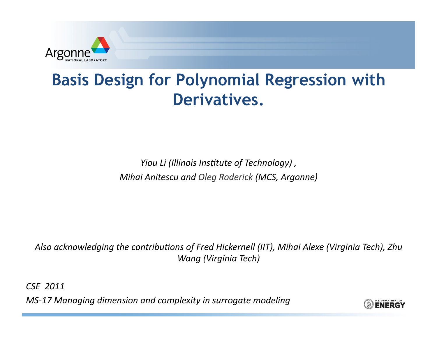

## **Basis Design for Polynomial Regression with** Derivatives.

Yiou Li (Illinois Institute of Technology), Mihai Anitescu and Oleg Roderick (MCS, Argonne)

Also acknowledging the contributions of Fred Hickernell (IIT), Mihai Alexe (Virginia Tech), Zhu Wang (Virginia Tech)

CSE 2011

MS-17 Managing dimension and complexity in surrogate modeling

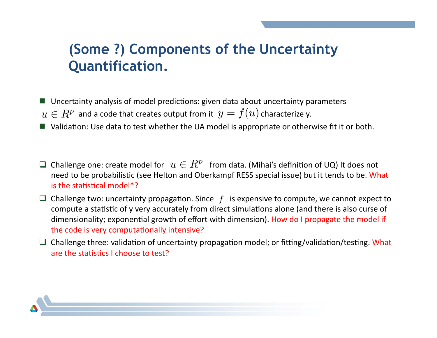## (Some ?) Components of the Uncertainty **Quantification.**

- Uncertainty analysis of model predictions: given data about uncertainty parameters
- $u \in R^p$  and a code that creates output from it  $y = f(u)$  characterize y.
- Validation: Use data to test whether the UA model is appropriate or otherwise fit it or both.
- $\Box$  Challenge one: create model for  $u \in R^p$  from data. (Mihai's definition of UQ) It does not need to be probabilistic (see Helton and Oberkampf RESS special issue) but it tends to be. What is the statistical model\*?
- $\Box$  Challenge two: uncertainty propagation. Since f is expensive to compute, we cannot expect to compute a statistic of y very accurately from direct simulations alone (and there is also curse of dimensionality; exponential growth of effort with dimension). How do I propagate the model if the code is very computationally intensive?
- $\Box$  Challenge three: validation of uncertainty propagation model; or fitting/validation/testing. What are the statistics I choose to test?

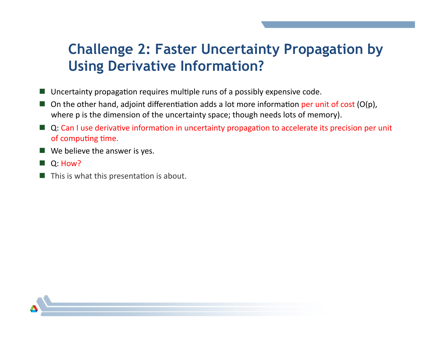## **Challenge 2: Faster Uncertainty Propagation by Using Derivative Information?**

- $\blacksquare$  Uncertainty propagation requires multiple runs of a possibly expensive code.
- $\blacksquare$  On the other hand, adjoint differentiation adds a lot more information per unit of cost (O(p), where p is the dimension of the uncertainty space; though needs lots of memory).
- Q: Can I use derivative information in uncertainty propagation to accelerate its precision per unit of computing time.
- $\blacksquare$  We believe the answer is yes.
- $Q: How?$
- $\blacksquare$  This is what this presentation is about.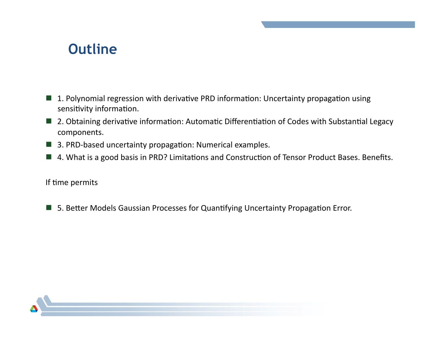## **Outline**

- 1. Polynomial regression with derivative PRD information: Uncertainty propagation using a sa sensitivity information.
- 2. Obtaining derivative information: Automatic Differentiation of Codes with Substantial Legacy components.
- 3. PRD-based uncertainty propagation: Numerical examples.
- 4. What is a good basis in PRD? Limitations and Construction of Tensor Product Bases. Benefits.

If time permits

■ 5. Better Models Gaussian Processes for Quantifying Uncertainty Propagation Error.

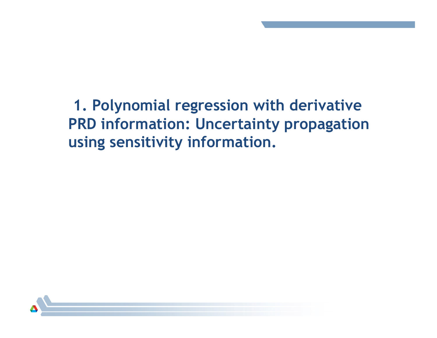**1. Polynomial regression with derivative PRD information: Uncertainty propagation using sensitivity information.** 

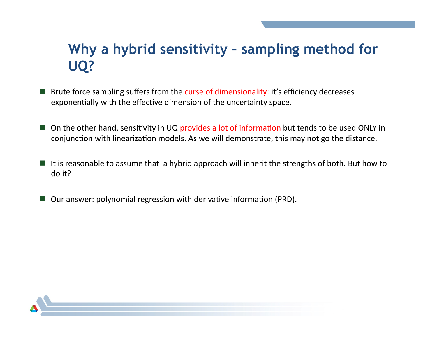## Why a hybrid sensitivity - sampling method for UQ?

- Brute force sampling suffers from the curse of dimensionality: it's efficiency decreases exponentially with the effective dimension of the uncertainty space.
- On the other hand, sensitivity in UQ provides a lot of information but tends to be used ONLY in conjunction with linearization models. As we will demonstrate, this may not go the distance.
- $\blacksquare$  It is reasonable to assume that a hybrid approach will inherit the strengths of both. But how to do it?
- Our answer: polynomial regression with derivative information (PRD).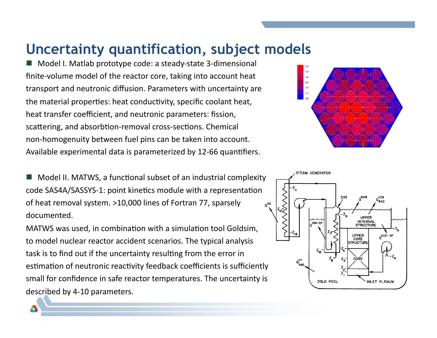## **Uncertainty quantification, subject models**

Model I. Matlab prototype code: a steady-state 3-dimensional finite-volume model of the reactor core, taking into account heat transport and neutronic diffusion. Parameters with uncertainty are the material properties: heat conductivity, specific coolant heat, heat transfer coefficient, and neutronic parameters: fission, scattering, and absorbtion-removal cross-sections. Chemical non-homogenuity between fuel pins can be taken into account. Available experimental data is parameterized by 12-66 quantifiers.

Model II. MATWS, a functional subset of an industrial complexity code SAS4A/SASSYS-1: point kinetics module with a representation of heat removal system. >10,000 lines of Fortran 77, sparsely documented.\*

MATWS was used, in combination with a simulation tool Goldsim, to model nuclear reactor accident scenarios. The typical analysis task is to find out if the uncertainty resulting from the error in estimation of neutronic reactivity feedback coefficients is sufficiently small for confidence in safe reactor temperatures. The uncertainty is described by 4-10 parameters.



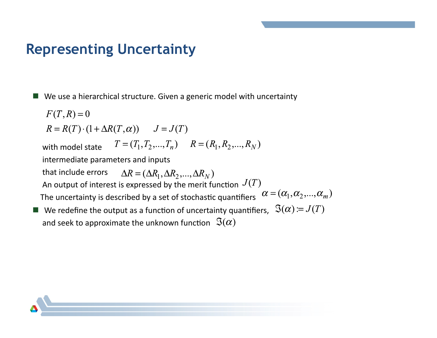## **Representing Uncertainty**

■ We use a hierarchical structure. Given a generic model with uncertainty

$$
F(T, R) = 0
$$
  
\n
$$
R = R(T) \cdot (1 + \Delta R(T, \alpha)) \qquad J = J(T)
$$
  
\nwith model state  $T = (T_1, T_2, ..., T_n) \qquad R = (R_1, R_2, ..., R_N)$   
\nintermediate parameters and inputs  
\nthat include errors  $\Delta R = (\Delta R_1, \Delta R_2, ..., \Delta R_N)$   
\nAn output of interest is expressed by the merit function  $J(T)$   
\nThe uncertainty is described by a set of stochastic quantifiers  $\alpha = (\alpha_1, \alpha_2, ..., \alpha_m)$   
\nWe redefine the output as a function of uncertainty quantifiers,  $\Im(\alpha) = J(T)$ 

and seek to approximate the unknown function  $\Im(\alpha)$ 

a se

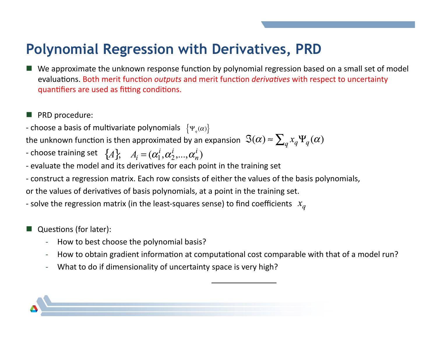## **Polynomial Regression with Derivatives, PRD**

- We approximate the unknown response function by polynomial regression based on a small set of model evaluations. Both merit function *outputs* and merit function *derivatives* with respect to uncertainty quantifiers are used as fitting conditions.
- $\blacksquare$  PRD procedure:
- choose a basis of multivariate polynomials  $\;\left\{\Psi_{q}(\alpha)\right\}\;$

the unknown function is then approximated by an expansion  $\Im(\alpha) \approx \sum_{a} x_{a} \Psi_{a}(\alpha)$ 

- choose training set  $\{A\}$ ,  $A_i = (\alpha_1^i, \alpha_2^i, ..., \alpha_n^i)$ 

- evaluate the model and its derivatives for each point in the training set
- construct a regression matrix. Each row consists of either the values of the basis polynomials,

or the values of derivatives of basis polynomials, at a point in the training set.

- solve the regression matrix (in the least-squares sense) to find coefficients  $x_a$ 

- Questions (for later):
	- How to best choose the polynomial basis?
	- How to obtain gradient information at computational cost comparable with that of a model run?
	- What to do if dimensionality of uncertainty space is very high?

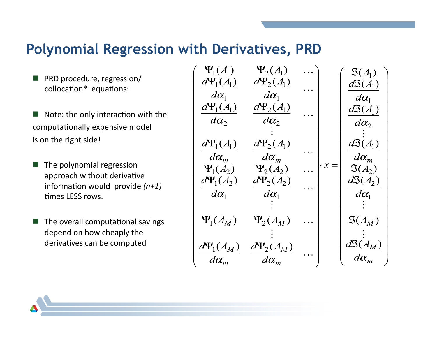#### **Polynomial Regression with Derivatives, PRD**

- PRD procedure, regression/ collocation\* equations:
- $\blacksquare$  Note: the only interaction with the computationally expensive model is on the right side!
- The polynomial regression approach without derivative information would provide  $(n+1)$ times LFSS rows.
- $\blacksquare$  The overall computational savings depend on how cheaply the derivatives can be computed

$$
\begin{pmatrix}\n\Psi_1(A_1) & \Psi_2(A_1) & \cdots \\
d\Psi_1(A_1) & d\Psi_2(A_1) & \cdots \\
d\alpha_1 & d\alpha_1 & \cdots \\
d\alpha_2 & \cdots & d\alpha_2 & \cdots \\
d\alpha_3 & \cdots & d\alpha_2 & \vdots \\
\frac{d\Psi_1(A_1)}{d\alpha_m} & \frac{d\Psi_2(A_1)}{d\alpha_m} & \cdots & \frac{d\Psi_2(A_1)}{d\alpha_m} \\
\frac{d\alpha_m}{d\alpha_m} & \frac{d\alpha_m}{d\alpha_m} & \cdots & \frac{d\alpha_m}{d\alpha_m} \\
\frac{d\Psi_1(A_2) & \Psi_2(A_2) & \cdots & \Psi_2(A_2)}{d\alpha_1} & \cdots & \frac{d\Phi_1(A_2)}{d\alpha_1} \\
\vdots & \vdots & \vdots & \vdots \\
\frac{d\Psi_1(A_M) & \Psi_2(A_M) & \cdots & \Psi_2(A_M) & \cdots \\
\vdots & \vdots & \vdots & \vdots \\
\frac{d\Psi_1(A_M) & \frac{d\Psi_2(A_M)}{d\alpha_m} & \cdots & \frac{d\Phi_2(A_M)}{d\alpha_m}\n\end{pmatrix}
$$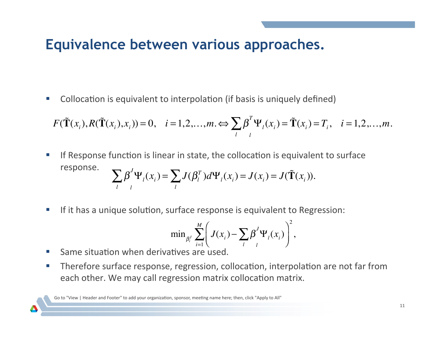## **Equivalence between various approaches.**

Collocation is equivalent to interpolation (if basis is uniquely defined)

$$
F(\tilde{\mathbf{T}}(x_i), R(\tilde{\mathbf{T}}(x_i), x_i)) = 0, \quad i = 1, 2, \dots, m. \Longleftrightarrow \sum_{l} \beta^{T} \Psi_l(x_i) = \tilde{\mathbf{T}}(x_i) = T_i, \quad i = 1, 2, \dots, m.
$$

- If Response function is linear in state, the collocation is equivalent to surface response.  $\beta$ *l* ∑ *l*  $J\Psi_l(x_i) = \sum J$ *l*  $\sum J(\beta_i^T)d\Psi_i(x_i) = J(x_i) = J(\tilde{\mathbf{T}}(x_i)).$
- If it has a unique solution, surface response is equivalent to Regression:

$$
\min_{\beta_i^j} \sum_{i=1}^M \left( J(x_i) - \sum_l \beta_j^j \Psi_l(x_i) \right)^2,
$$

- Same situation when derivatives are used.
- Therefore surface response, regression, collocation, interpolation are not far from each other. We may call regression matrix collocation matrix.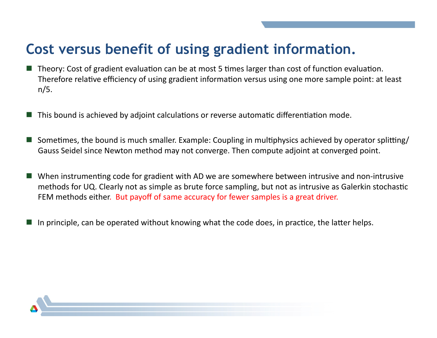## Cost versus benefit of using gradient information.

- Theory: Cost of gradient evaluation can be at most 5 times larger than cost of function evaluation. Therefore relative efficiency of using gradient information versus using one more sample point: at least  $n/5$ .
- This bound is achieved by adjoint calculations or reverse automatic differentiation mode.
- Sometimes, the bound is much smaller. Example: Coupling in multiphysics achieved by operator splitting/ Gauss Seidel since Newton method may not converge. Then compute adjoint at converged point.
- When instrumenting code for gradient with AD we are somewhere between intrusive and non-intrusive methods for UQ. Clearly not as simple as brute force sampling, but not as intrusive as Galerkin stochastic FEM methods either. But payoff of same accuracy for fewer samples is a great driver.
- In principle, can be operated without knowing what the code does, in practice, the latter helps.

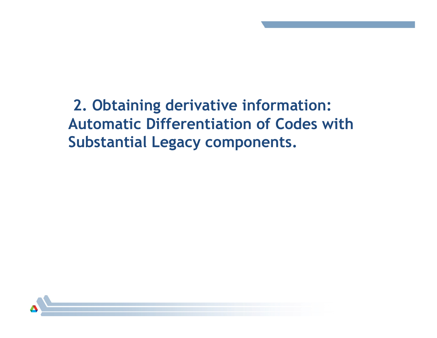**2. Obtaining derivative information: Automatic Differentiation of Codes with Substantial Legacy components.**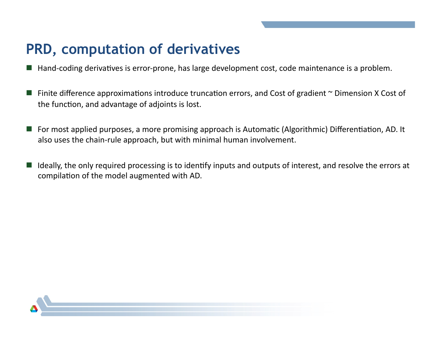## **PRD, computation of derivatives**

- $\blacksquare$  Hand-coding derivatives is error-prone, has large development cost, code maintenance is a problem.
- Finite difference approximations introduce truncation errors, and Cost of gradient  $\sim$  Dimension X Cost of the function, and advantage of adjoints is lost.
- For most applied purposes, a more promising approach is Automatic (Algorithmic) Differentiation, AD. It also uses the chain-rule approach, but with minimal human involvement.
- Ideally, the only required processing is to identify inputs and outputs of interest, and resolve the errors at compilation of the model augmented with AD.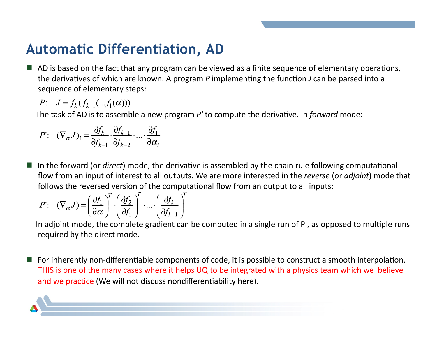## **Automatic Differentiation, AD**

AD is based on the fact that any program can be viewed as a finite sequence of elementary operations, the derivatives of which are known. A program  $P$  implementing the function  $J$  can be parsed into a sequence of elementary steps:

P:  $J = f_k(f_{k-1}(...f_1(\alpha)))$ 

The task of AD is to assemble a new program  $P'$  to compute the derivative. In *forward* mode:

$$
P': (\nabla_{\alpha} J)_i = \frac{\partial f_k}{\partial f_{k-1}} \cdot \frac{\partial f_{k-1}}{\partial f_{k-2}} \cdot ... \cdot \frac{\partial f_1}{\partial \alpha_i}
$$

In the forward (or *direct*) mode, the derivative is assembled by the chain rule following computational flow from an input of interest to all outputs. We are more interested in the reverse (or adjoint) mode that follows the reversed version of the computational flow from an output to all inputs:

$$
P': (\nabla_{\alpha} J) = \left(\frac{\partial f_1}{\partial \alpha}\right)^T \cdot \left(\frac{\partial f_2}{\partial f_1}\right)^T \cdot \dots \cdot \left(\frac{\partial f_k}{\partial f_{k-1}}\right)^T
$$

In adjoint mode, the complete gradient can be computed in a single run of P', as opposed to multiple runs required by the direct mode.

■ For inherently non-differentiable components of code, it is possible to construct a smooth interpolation. THIS is one of the many cases where it helps UQ to be integrated with a physics team which we believe and we practice (We will not discuss nondifferentiability here).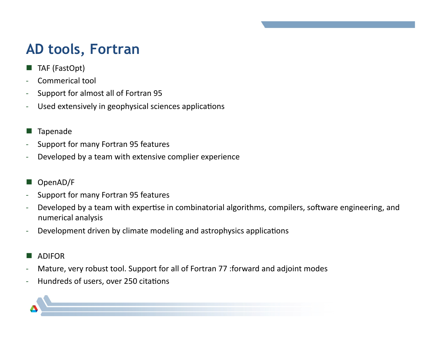## **AD tools, Fortran**

- TAF (FastOpt)
- Commerical tool
- Support for almost all of Fortran 95
- Used extensively in geophysical sciences applications
- **Tapenade**
- Support for many Fortran 95 features
- Developed by a team with extensive complier experience
- OpenAD/F\*
- Support for many Fortran 95 features
- Developed by a team with expertise in combinatorial algorithms, compilers, software engineering, and numerical analysis
- Development driven by climate modeling and astrophysics applications
- ADIFOR\*
- Mature, very robust tool. Support for all of Fortran 77 : forward and adjoint modes
- Hundreds of users, over 250 citations

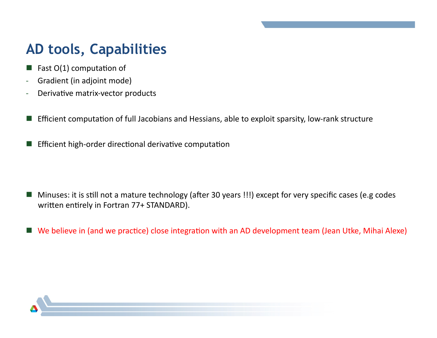## **AD tools, Capabilities**

- Fast O(1) computation of
- Gradient (in adjoint mode)
- Derivative matrix-vector products
- Efficient computation of full Jacobians and Hessians, able to exploit sparsity, low-rank structure
- Efficient high-order directional derivative computation

- Minuses: it is still not a mature technology (after 30 years !!!) except for very specific cases (e.g codes  $\mathbb{R}^n$ written entirely in Fortran 77+ STANDARD).
- We believe in (and we practice) close integration with an AD development team (Jean Utke, Mihai Alexe)

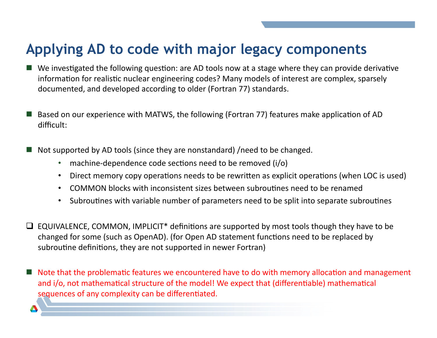## Applying AD to code with major legacy components

- $\blacksquare$  We investigated the following question: are AD tools now at a stage where they can provide derivative information for realistic nuclear engineering codes? Many models of interest are complex, sparsely documented, and developed according to older (Fortran 77) standards.
- Based on our experience with MATWS, the following (Fortran 77) features make application of AD difficult:
- Not supported by AD tools (since they are nonstandard) / need to be changed.
	- machine-dependence code sections need to be removed (i/o)
	- Direct memory copy operations needs to be rewritten as explicit operations (when LOC is used)  $\bullet$
	- COMMON blocks with inconsistent sizes between subroutines need to be renamed  $\bullet$
	- Subroutines with variable number of parameters need to be split into separate subroutines
- $\Box$  EQUIVALENCE, COMMON, IMPLICIT<sup>\*</sup> definitions are supported by most tools though they have to be changed for some (such as OpenAD). (for Open AD statement functions need to be replaced by subroutine definitions, they are not supported in newer Fortran)
- Note that the problematic features we encountered have to do with memory allocation and management and i/o, not mathematical structure of the model! We expect that (differentiable) mathematical sequences of any complexity can be differentiated.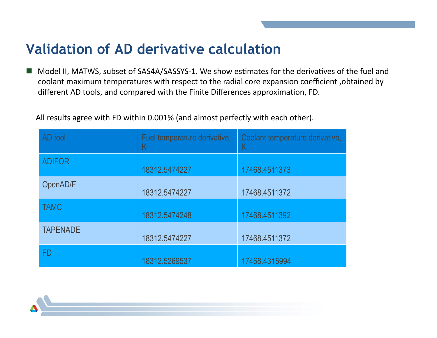## **Validation of AD derivative calculation**

Model II, MATWS, subset of SAS4A/SASSYS-1. We show estimates for the derivatives of the fuel and coolant maximum temperatures with respect to the radial core expansion coefficient, obtained by different AD tools, and compared with the Finite Differences approximation, FD.

All results agree with FD within 0.001% (and almost perfectly with each other).

| AD tool         | Fuel temperature derivative, | Coolant temperature derivative,<br>Κ |  |
|-----------------|------------------------------|--------------------------------------|--|
| <b>ADIFOR</b>   | 18312.5474227                | 17468.4511373                        |  |
| OpenAD/F        | 18312.5474227                | 17468.4511372                        |  |
| <b>TAMC</b>     | 18312.5474248                | 17468.4511392                        |  |
| <b>TAPENADE</b> | 18312.5474227                | 17468.4511372                        |  |
| FD              | 18312.5269537                | 17468.4315994                        |  |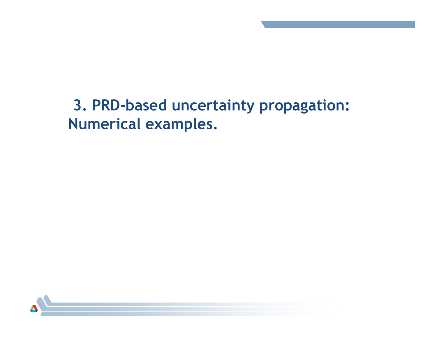## **3. PRD-based uncertainty propagation: Numerical examples.**

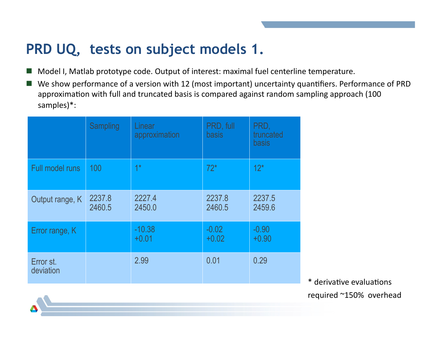## **PRD UQ, tests on subject models 1.**

- Model I, Matlab prototype code. Output of interest: maximal fuel centerline temperature.
- We show performance of a version with 12 (most important) uncertainty quantifiers. Performance of PRD approximation with full and truncated basis is compared against random sampling approach (100 samples)\*:

|                        | <b>Sampling</b>  | Linear<br>approximation | PRD, full<br>basis | PRD,<br>truncated<br><b>basis</b> |        |
|------------------------|------------------|-------------------------|--------------------|-----------------------------------|--------|
| Full model runs        | 100              | $1*$                    | $72*$              | $12*$                             |        |
| Output range, K        | 2237.8<br>2460.5 | 2227.4<br>2450.0        | 2237.8<br>2460.5   | 2237.5<br>2459.6                  |        |
| Error range, K         |                  | $-10.38$<br>$+0.01$     | $-0.02$<br>$+0.02$ | $-0.90$<br>$+0.90$                |        |
| Error st.<br>deviation |                  | 2.99                    | 0.01               | 0.29                              | * dori |

\* derivative evaluations required  $~^{\sim}150\%$  overhead

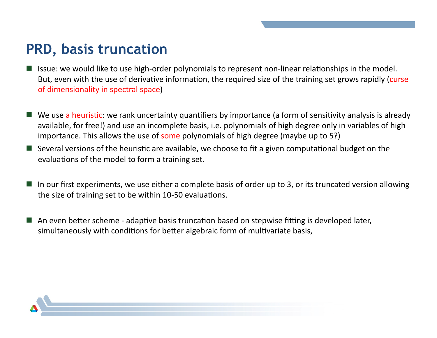## **PRD, basis truncation**

- Issue: we would like to use high-order polynomials to represent non-linear relationships in the model. But, even with the use of derivative information, the required size of the training set grows rapidly (curse) of dimensionality in spectral space)
- We use a heuristic: we rank uncertainty quantifiers by importance (a form of sensitivity analysis is already available, for free!) and use an incomplete basis, i.e. polynomials of high degree only in variables of high importance. This allows the use of some polynomials of high degree (maybe up to 5?)
- Several versions of the heuristic are available, we choose to fit a given computational budget on the evaluations of the model to form a training set.
- In our first experiments, we use either a complete basis of order up to 3, or its truncated version allowing the size of training set to be within 10-50 evaluations.
- An even better scheme adaptive basis truncation based on stepwise fitting is developed later, simultaneously with conditions for better algebraic form of multivariate basis,

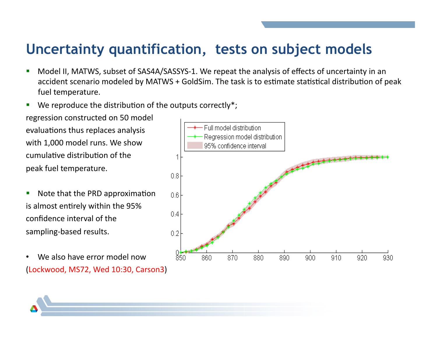## Uncertainty quantification, tests on subject models

- Model II, MATWS, subset of SAS4A/SASSYS-1. We repeat the analysis of effects of uncertainty in an Ľ accident scenario modeled by MATWS + GoldSim. The task is to estimate statistical distribution of peak fuel temperature.
- We reproduce the distribution of the outputs correctly\*; П

regression constructed on 50 model evaluations thus replaces analysis with 1,000 model runs. We show cumulative distribution of the peak fuel temperature.

- Note that the PRD approximation I. is almost entirely within the 95% confidence interval of the sampling-based results.
- We also have error model now  $\bullet$ (Lockwood, MS72, Wed 10:30, Carson3)

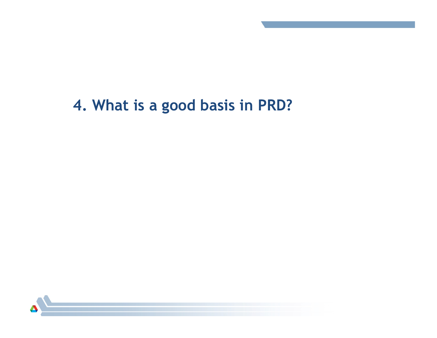## **4. What is a good basis in PRD?**

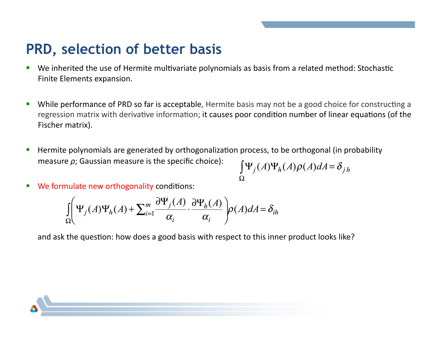## PRD, selection of better basis

- We inherited the use of Hermite multivariate polynomials as basis from a related method: Stochastic I. Finite Elements expansion.
- While performance of PRD so far is acceptable, Hermite basis may not be a good choice for constructing a П regression matrix with derivative information; it causes poor condition number of linear equations (of the Fischer matrix).
- Hermite polynomials are generated by orthogonalization process, to be orthogonal (in probability F measure  $\rho$ ; Gaussian measure is the specific choice):

$$
\int_{\Omega} \Psi_j(A) \Psi_h(A) \rho(A) dA = \delta_{jh}
$$

We formulate new orthogonality conditions: ×

$$
\int_{\Omega} \left( \Psi_j(A) \Psi_h(A) + \sum_{i=1}^m \frac{\partial \Psi_j(A)}{\alpha_i} \cdot \frac{\partial \Psi_h(A)}{\alpha_i} \right) \rho(A) dA = \delta_{ih}
$$

and ask the question: how does a good basis with respect to this inner product looks like?

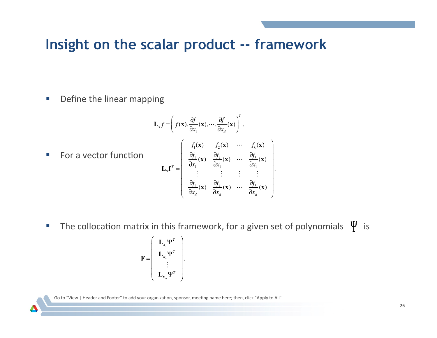#### **Insight on the scalar product -- framework**

• Define the linear mapping

$$
\mathbf{L}_{x}f = \left(f(\mathbf{x}), \frac{\partial f}{\partial x_{1}}(\mathbf{x}), \cdots, \frac{\partial f}{\partial x_{d}}(\mathbf{x})\right)^{T}.
$$
\nFor a vector function

\n
$$
\mathbf{L}_{x}\mathbf{f}^{T} = \begin{bmatrix}\nf_{1}(\mathbf{x}) & f_{2}(\mathbf{x}) & \cdots & f_{k}(\mathbf{x}) \\
\frac{\partial f_{1}}{\partial x_{1}}(\mathbf{x}) & \frac{\partial f_{2}}{\partial x_{1}}(\mathbf{x}) & \cdots & \frac{\partial f_{k}}{\partial x_{1}}(\mathbf{x}) \\
\vdots & \vdots & \vdots & \vdots \\
\frac{\partial f_{1}}{\partial x_{d}}(\mathbf{x}) & \frac{\partial f_{2}}{\partial x_{d}}(\mathbf{x}) & \cdots & \frac{\partial f_{k}}{\partial x_{d}}(\mathbf{x})\n\end{bmatrix}.
$$

**The collocation matrix in this framework, for a given set of polynomials**  $\Psi$  **is** 

$$
\mathbf{F} = \begin{pmatrix} \mathbf{L}_{\mathbf{x}_1} \mathbf{\Psi}^T \\ \mathbf{L}_{\mathbf{x}_2} \mathbf{\Psi}^T \\ \vdots \\ \mathbf{L}_{\mathbf{x}_m} \mathbf{\Psi}^T \end{pmatrix}.
$$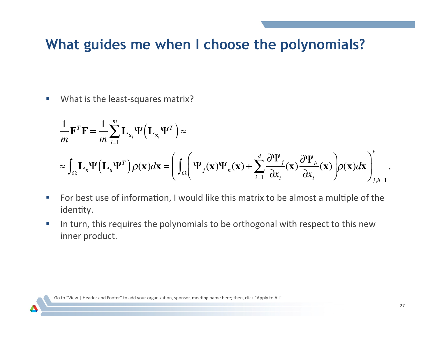## What guides me when I choose the polynomials?

What is the least-squares matrix?  $\mathcal{C}$ 

$$
\frac{1}{m} \mathbf{F}^T \mathbf{F} = \frac{1}{m} \sum_{i=1}^m \mathbf{L}_{\mathbf{x}_i} \Psi \Big( \mathbf{L}_{\mathbf{x}_i} \Psi^T \Big) \approx
$$
\n
$$
\approx \int_{\Omega} \mathbf{L}_{\mathbf{x}} \Psi \Big( \mathbf{L}_{\mathbf{x}} \Psi^T \Big) \rho(\mathbf{x}) d\mathbf{x} = \left( \int_{\Omega} \Big( \Psi_j(\mathbf{x}) \Psi_h(\mathbf{x}) + \sum_{i=1}^d \frac{\partial \Psi_j}{\partial x_i}(\mathbf{x}) \frac{\partial \Psi_h}{\partial x_i}(\mathbf{x}) \Big) \rho(\mathbf{x}) d\mathbf{x} \right)_{j,h=1}^k
$$

- For best use of information, I would like this matrix to be almost a multiple of the  $\mathbb{R}^n$ identity.
- In turn, this requires the polynomials to be orthogonal with respect to this new ×, inner product.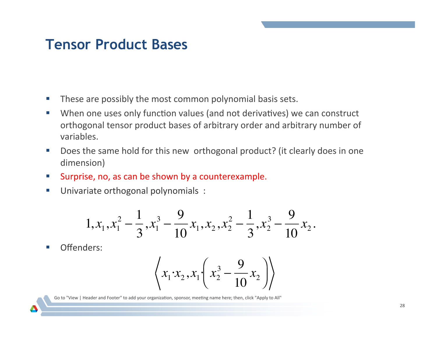### **Tensor Product Bases**

- These are possibly the most common polynomial basis sets.  $\mathcal{L}_{\mathcal{A}}$
- When one uses only function values (and not derivatives) we can construct  $\mathbb{R}^n$ orthogonal tensor product bases of arbitrary order and arbitrary number of variables.
- Does the same hold for this new orthogonal product? (it clearly does in one  $\sim$ dimension)
- Surprise, no, as can be shown by a counterexample.  $\overline{\mathbb{R}^n}$
- Univariate orthogonal polynomials :  $\mathcal{L}_{\mathcal{A}}$

$$
1, x_1, x_1^2 - \frac{1}{3}, x_1^3 - \frac{9}{10}x_1, x_2, x_2^2 - \frac{1}{3}, x_2^3 - \frac{9}{10}x_2.
$$

Offenders:

$$
\left\langle x_1 \cdot x_2, x_1 \cdot \left( x_2^3 - \frac{9}{10} x_2 \right) \right\rangle
$$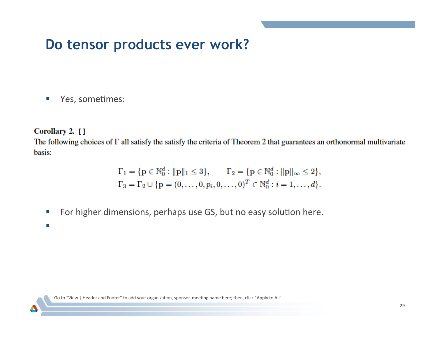## Do tensor products ever work?

Yes, sometimes:  $\mathcal{L}_{\mathcal{A}}$ 

#### Corollary 2. []

The following choices of  $\Gamma$  all satisfy the satisfy the criteria of Theorem 2 that guarantees an orthonormal multivariate basis:

$$
\Gamma_1 = \{ \mathbf{p} \in \mathbb{N}_0^d : ||\mathbf{p}||_1 \le 3 \}, \qquad \Gamma_2 = \{ \mathbf{p} \in \mathbb{N}_0^d : ||\mathbf{p}||_\infty \le 2 \},
$$
  
\n
$$
\Gamma_3 = \Gamma_2 \cup \{ \mathbf{p} = (0, \dots, 0, p_i, 0, \dots, 0)^T \in \mathbb{N}_0^d : i = 1, \dots, d \}.
$$

For higher dimensions, perhaps use GS, but no easy solution here.  $\mathcal{L}_{\mathcal{A}}$ 

m,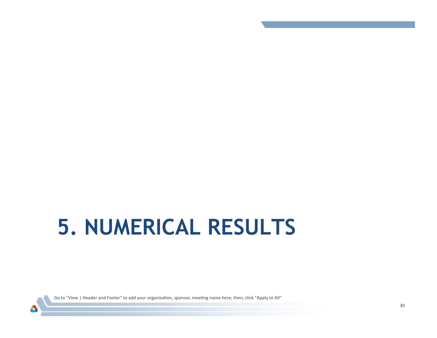# **5. NUMERICAL RESULTS**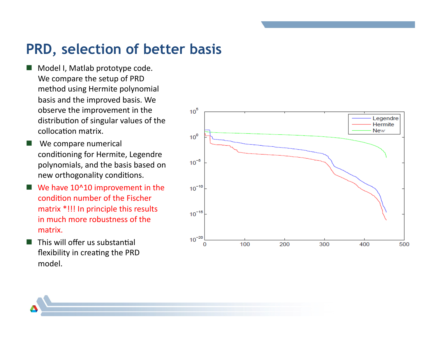## **PRD, selection of better basis**

- Model I, Matlab prototype code. We compare the setup of PRD method using Hermite polynomial basis and the improved basis. We observe the improvement in the distribution of singular values of the collocation matrix.
- We compare numerical conditioning for Hermite, Legendre polynomials, and the basis based on new orthogonality conditions.
- We have  $10^{\circ}10$  improvement in the condition number of the Fischer matrix \*!!! In principle this results in much more robustness of the matrix.
- $\blacksquare$  This will offer us substantial flexibility in creating the PRD model.\*

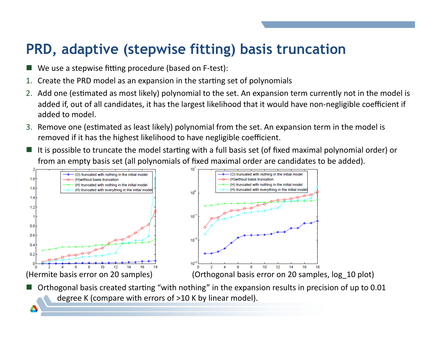## **PRD, adaptive (stepwise fitting) basis truncation**

- We use a stepwise fitting procedure (based on F-test):
- 1. Create the PRD model as an expansion in the starting set of polynomials
- 2. Add one (estimated as most likely) polynomial to the set. An expansion term currently not in the model is added if, out of all candidates, it has the largest likelihood that it would have non-negligible coefficient if added to model.
- 3. Remove one (estimated as least likely) polynomial from the set. An expansion term in the model is removed if it has the highest likelihood to have negligible coefficient.
- It is possible to truncate the model starting with a full basis set (of fixed maximal polynomial order) or from an empty basis set (all polynomials of fixed maximal order are candidates to be added).





Orthogonal basis created starting "with nothing" in the expansion results in precision of up to 0.01 degree K (compare with errors of  $>10$  K by linear model).